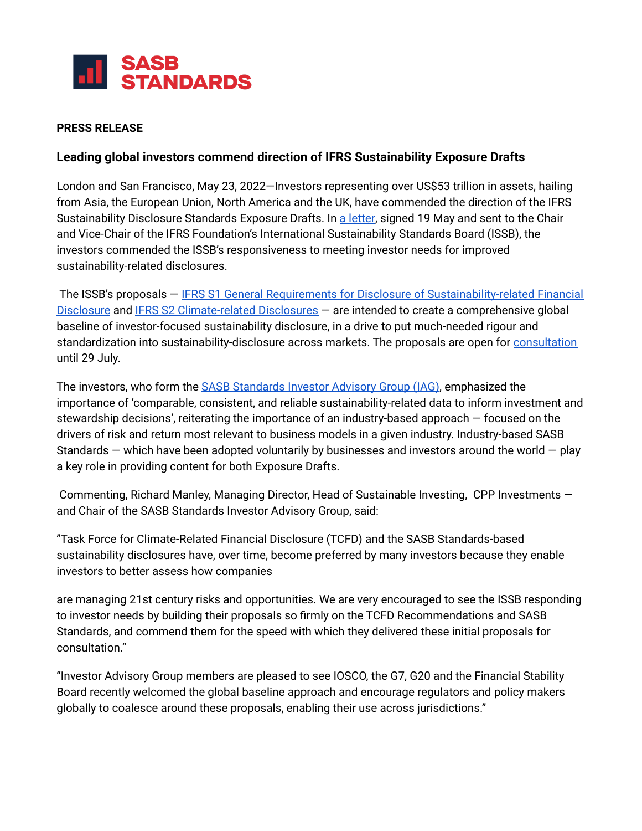

#### **PRESS RELEASE**

### **Leading global investors commend direction of IFRS Sustainability Exposure Drafts**

London and San Francisco, May 23, 2022—Investors representing over US\$53 trillion in assets, hailing from Asia, the European Union, North America and the UK, have commended the direction of the IFRS Sustainability Disclosure Standards Exposure Drafts. In a [letter,](https://www.sasb.org/wp-content/uploads/2022/05/FINAL_GRR_CD_Comment_Letter-IFRS.pdf) signed 19 May and sent to the Chair and Vice-Chair of the IFRS Foundation's International Sustainability Standards Board (ISSB), the investors commended the ISSB's responsiveness to meeting investor needs for improved sustainability-related disclosures.

The ISSB's proposals – IFRS S1 General Requirements for Disclosure of [Sustainability-related](https://www.ifrs.org/projects/work-plan/general-sustainability-related-disclosures/exposure-draft-and-comment-letters/#consultation) Financial [Disclosure](https://www.ifrs.org/projects/work-plan/general-sustainability-related-disclosures/exposure-draft-and-comment-letters/#consultation) and IFRS S2 [Climate-related](https://www.ifrs.org/projects/work-plan/climate-related-disclosures/#published-documents) Disclosures – are intended to create a comprehensive global baseline of investor-focused sustainability disclosure, in a drive to put much-needed rigour and standardization into sustainability-disclosure across markets. The proposals are open for [consultation](https://www.ifrs.org/news-and-events/news/2022/03/issb-delivers-proposals-that-create-comprehensive-global-baseline-of-sustainability-disclosures/) until 29 July.

The investors, who form the **SASB [Standards](https://www.sasb.org/investor-use/supporters/) Investor Advisory Group (IAG)**, emphasized the importance of 'comparable, consistent, and reliable sustainability-related data to inform investment and stewardship decisions', reiterating the importance of an industry-based approach — focused on the drivers of risk and return most relevant to business models in a given industry. Industry-based SASB Standards  $-$  which have been adopted voluntarily by businesses and investors around the world  $-$  play a key role in providing content for both Exposure Drafts.

Commenting, Richard Manley, Managing Director, Head of Sustainable Investing, CPP Investments and Chair of the SASB Standards Investor Advisory Group, said:

"Task Force for Climate-Related Financial Disclosure (TCFD) and the SASB Standards-based sustainability disclosures have, over time, become preferred by many investors because they enable investors to better assess how companies

are managing 21st century risks and opportunities. We are very encouraged to see the ISSB responding to investor needs by building their proposals so firmly on the TCFD Recommendations and SASB Standards, and commend them for the speed with which they delivered these initial proposals for consultation."

"Investor Advisory Group members are pleased to see IOSCO, the G7, G20 and the Financial Stability Board recently welcomed the global baseline approach and encourage regulators and policy makers globally to coalesce around these proposals, enabling their use across jurisdictions."